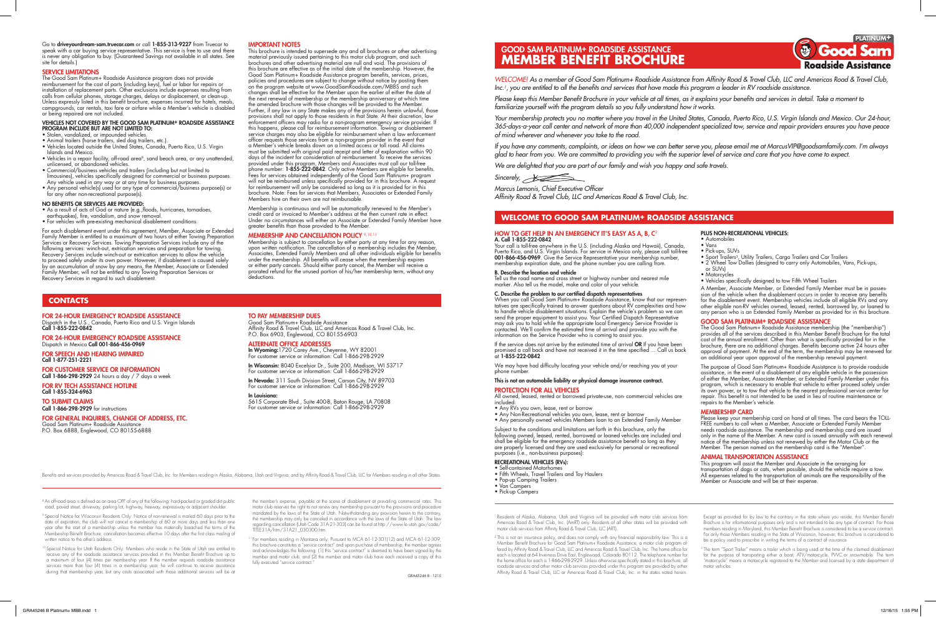# HOW TO GET HELP IN AN EMERGENCY IT'S EASY AS A, B, C<sup>2</sup> A. Call 1-855-222-0842

Your call is toll-free anywhere in the U.S. (including Alaska and Hawaii), Canada, Puerto Rico, and U.S. Virgin Islands. For service in Mexico only, please call toll-free<br>**001-866-456-0969**. Give the Service Representative your membership number, membership expiration date, and the phone number you are calling from.

B. Describe the location and vehicle

Tell us the road name and cross street or highway number and nearest mile marker. Also tell us the model, make and color of your vehicle.

# C. Describe the problem to our certified dispatch representatives

When you call Good Sam Platinum+ Roadside Assistance, know that our representatives are specifically trained to answer questions about RV complexities and how to handle vehicle disablement situations. Explain the vehicle's problem so we can send the proper equipment to assist you. Your Certified Dispatch Representative may ask you to hold while the appropriate local Emergency Service Provider is

All owned, leased, rented or borrowed private-use, non- commercial vehicles are included

# This is not an automobile liability or physical damage insurance contract.

#### PROTECTION FOR ALL VEHICLES

- Any RVs you own, lease, rent or borrow
- Any Non-Recreational vehicles you own, lease, rent or borrow • Any personally owned vehicles Members loan to an Extended Family Member

Subject to the conditions and limitations set forth in this brochure, only the following owned, leased, rented, borrowed or loaned vehicles are included and shall be eligible for the emergency roadside assistance benefit so long as they are properly licensed and they are used exclusively for personal or recreational purposes (i.e., non-business purposes):

Please keep your membership card on hand at all times. The card bears the TOLL-FREE numbers to call when a Member, Associate or Extended Family Member needs roadside assistance. The membership and membership card are issued only in the name of the Member. A new card is issued annually with each renewal notice of the membership unless not renewed by either the Motor Club or the Member. The person named on the membership card is the "Member"

# RECREATIONAL VEHICLES (RVs):

- Self-contained Motorhomes • Fifth Wheels, Travel Trailers and Toy Haulers
- Pop-up Camping Trailers
- Van Campers
- Pick-up Campers

contacted. We'll confirm the estimated time of arrival and provide you with the information on the Service Provider who is coming to assist you. If the service does not arrive by the estimated time of arrival OR If you have been promised a call back and have not received it in the time specified ... Call us back<br>at **1-855-222-0842** The Good Sam Platinum+ Roadside Assistance membership (the "membership") provides all of the services described in this Member Benefit Brochure for the total cost of the annual enrollment. Other than what is specifically provided for in the brochure, there are no additional charges. Benefits become active 24 hours after approval of payment. At the end of the term, the membership may be renewed for an additional year upon approval of the membership renewal payment.

We may have had difficulty locating your vehicle and/or reaching you at your phone numbe

# PLUS NON-RECREATIONAL VEHICLES:

# • Automobiles

- Vans
- Pick-ups, SUVs • Sport Trailers3, Utility Trailers, Cargo Trailers and Car Trailers
- 2 Wheel Tow Dollies (designed to carry only Automobiles, Vans, Pick-ups,
- or SUVs)
- Motorcycles
- Vehicles specifically designed to tow Fifth Wheel Trailers

A Member, Associate Member, or Extended Family Member must be in possession of the vehicle when the disablement occurs in order to receive any benefits for the disablement event. Membership vehicles include all eligible RVs and any other eligible non-RV vehicles owned, leased, rented, borrowed by, or loaned to any person who is an Extended Family Member as provided for in this brochure. GOOD SAM PLATINUM+ ROADSIDE ASSISTANCE

The purpose of Good Sam Platinum+ Roadside Assistance is to provide roadside assistance, in the event of a disablement of any eligible vehicle in the possession of either the Member, Associate Member, or Extended Family Member under this program, which is necessary to enable that vehicle to either proceed safely under its own power, or to tow that vehicle to the nearest professional service center for repair. This benefit is not intended to be used in lieu of routine maintenance or repairs to the Member's vehicle.

# MEMBERSHIP CARD

# ANIMAL TRANSPORTATION ASSISTANCE

This program will assist the Member and Associate in the arranging for transportation of dogs or cats, when possible, should the vehicle require a tow. All expenses related to the transportation of animals are the responsibility of the Member or Associate and will be at their expense.

# **WELCOME TO GOOD SAM PLATINUM+ ROADSIDE ASSISTANCE**

# GOOD SAM PLATINUM+ ROADSIDE ASSISTANCE **MEMBER BENEFIT BROCHURE**

*WELCOME! As a member of Good Sam Platinum+ Roadside Assistance from Affinity Road & Travel Club, LLC and Americas Road & Travel Club, Inc.1, you are entitled to all the benefits and services that have made this program a leader in RV roadside assistance.*

*Please keep this Member Benefit Brochure in your vehicle at all times, as it explains your benefits and services in detail. Take a moment to familiarize yourself with the program details so you fully understand how it works.*

*Your membership protects you no matter where you travel in the United States, Canada, Puerto Rico, U.S. Virgin Islands and Mexico. Our 24-hour, 365-days-a-year call center and network of more than 40,000 independent specialized tow, service and repair providers ensures you have peace of mind wherever and whenever you take to the road.*

*If you have any comments, complaints, or ideas on how we can better serve you, please email me at MarcusVIP@goodsamfamily.com. I'm always glad to hear from you. We are committed to providing you with the superior level of service and care that you have come to expect. We are delighted that you are part of our family and wish you happy and safe travels.*

Sincerely, **All School Street** 

*Marcus Lemonis, Chief Executive Officer Affinity Road & Travel Club, LLC and Americas Road & Travel Club, Inc.*

<sup>2</sup> This is not an insurance policy, and does not comply with any financial responsibility law. This is a Member Benefit Brochure for Good Sam Platinum+ Roadside Assistance, a motor club program offered by Affinity Road & Travel Club, LLC and Americas Road & Travel Club, Inc. The home office for each is located at 64 Inverness Drive East, Englewood, Colorado 80112. The telephone number for the home office for each is 1-866-298-2929. Unless otherwise specifically stated in this brochure, all roadside services and other motor club services provided under this program are provided by either Affinity Road & Travel Club, LLC or Americas Road & Travel Club, Inc. in the states noted herein.

Go to driveyourdream-sam.truecar.com or call 1-855-313-9227 from Truecar to speak with a car buying service representative. This service is free to use and there is never any obligation to buy. (Guaranteed Savings not available in all states. See site for details.)

#### SERVICE LIMITATIONS

The term "Sport Trailer" means a trailer which is being used at the time of the claimed disablement for the purpose of transporting either a boat, ATV/motorcycle, PWC or snowmobile. The term "motorcycle" means a motorcycle registered to the Member and licensed by a state department of motor vehicles.

8 An off-road area is defined as an area OFF of any of the following: hard-packed or graded dirt public road, paved street, driveway, parking lot, highway, freeway, expressway or adjacent shoulder.

The Good Sam Platinum+ Roadside Assistance program does not provide reimbursement for the cost of parts (including keys), fuel or labor for repairs or installation of replacement parts. Other exclusions include expenses resulting from calls from cellular phones, storage charges, delays or displacement, or clean-up. Unless expressly listed in this benefit brochure, expenses incurred for hotels, meals, campgrounds, car rentals, taxi fare or airfare while a Member's vehicle is disabled or being repaired are not included.

<sup>9</sup> Special Notice for Wisconsin Residents Only: Notice of non-renewal is mailed 60 days prior to the date of expiration; the club will not cancel a membership of 60 or more days and less than one year after the start of a membership unless the member has materially breached the terms of the Membership Benefit Brochure; cancellation becomes effective 10 days after the first class mailing of written notice to the other's address.

#### VEHICLES NOT COVERED BY THE GOOD SAM PLATINUM+ ROADSIDE ASSISTANCE PROGRAM INCLUDE BUT ARE NOT LIMITED TO:

• Stolen, vandalized, or impounded vehicles.

<sup>10</sup> Special Notice for Utah Residents Only: Members who reside in the State of Utah are entitled to receive any of the roadside assistance services provided in this Member Benefit Brochure up to a maximum of four (4) times per membership year. If the member requests roadside assistance services more than four (4) times in a membership year, he will continue to receive assistance during that membership year, but any costs associated with those additional services will be at

- Animal trailers (horse trailers, sled dog trailers, etc.).
- Vehicles located outside the United States, Canada, Puerto Rico, U.S. Virgin Islands and Mexico.
- Vehicles in a repair facility, off-road area<sup>8</sup>, sand beach area, or any unattended, unlicensed, or abandoned vehicles.
- Commercial/business vehicles and trailers (including but not limited to limousines), vehicles specifically designed for commercial or business purposes. Any vehicle used in any way or at any time for business purposes.
- Any personal vehicle(s) used for any type of commercial/business purpose(s) or for any other non-recreational purpose(s).

<sup>1</sup> For members residing in Montana only: Pursuant to MCA 61-12-301(12) and MCA 61-12-309, this brochure constitutes a "service contract" and upon purchase of membership, the member agrees and acknowledges the following: (1) this "service contract" is deemed to have been signed by the member and motor club; and (2) the member and motor club have each received a copy of this fully executed "service contract."

#### NO BENEFITS OR SERVICES ARE PROVIDED:

- As a result of acts of God or nature (e.g.,floods, hurricanes, tornadoes,
- earthquakes), fire, vandalism, and snow removal.
- For vehicles with pre-existing mechanical disablement conditions.

FOR RV TECH ASSISTANCE HOTLINE Call 1-855-324-6963

Good Sam Platinum+ Roadside Assistance Affinity Road & Travel Club, LLC and Americas Road & Travel Club, Inc. P.O. Box 6903, Englewood, CO 80155-6903

**In Wyoming:**1720 Carey Ave., Cheyenne, WY 82001 For customer service or information: Call 1-866-298-2929

In Wisconsin: 8040 Excelsior Dr., Suite 200, Madison, WI 53717 For customer service or information: Call 1-866-298-2929

In Nevada: 311 South Division Street, Carson City, NV 89703 For customer service or information: Call 1-866-298-2929

For each disablement event under this agreement, Member, Associate or Extended Family Member is entitled to a maximum of two hours of either Towing Preparation Services or Recovery Services. Towing Preparation Services include any of the following services: winch-out, extrication services and preparation for towing. Recovery Services include winch-out or extrication services to allow the vehicle to proceed safely under its own power. However, if disablement is caused solely by an accumulation of snow by any means, the Member, Associate or Extended Family Member, will not be entitled to any Towing Preparation Services or Recovery Services in regard to such disablement.

# IMPORTANT NOTES

This brochure is intended to supersede any and all brochures or other advertising material previously issued pertaining to this motor club program, and such brochures and other advertising material are null and void. The provisions of this brochure are effective as of the initial date of the membership. However, the Good Sam Platinum+ Roadside Assistance program benefits, services, prices, policies and procedures are subject to change without notice by posting them on the program website at www.GoodSamRoadside.com/MBBS and such changes shall be effective for the Member upon the earlier of either the date of the next renewal of membership or the membership anniversary at which time the amended brochure with those changes will be provided to the Member. Further, if any law in any State makes any of the provisions herein unlawful, those provisions shall not apply to those residents in that State. At their discretion, law enforcement officers may radio for a non-program emergency service provider. If this happens, please call for reimbursement information. Towing or disablement service charges may also be eligible for reimbursement when a law enforcement officer requests those services from a non-program provider in the event that a Member's vehicle breaks down on a limited access or toll road. All claims must be submitted with original paid receipt and letter of explanation within 90 days of the incident for consideration of reimbursement. To receive the services provided under this program, Members and Associates must call our toll-free<br>phone number: **1-855-222-0842**. Only active Members are eligible for benefits. Fees for services obtained independently of the Good Sam Platinum+ program will not be reimbursed unless specifically provided for in this brochure. A request for reimbursement will only be considered so long as it is provided for in this brochure. Note: Fees for services that Members, Associates or Extended Family Members hire on their own are not reimbursable.

Membership is continuous and will be automatically renewed to the Member's credit card or invoiced to Member's address at the then current rate in effect. Under no circumstances will either an Associate or Extended Family Member have greater benefits than those provided to the Member.

## MEMBERSHIP AND CANCELLATION POLICY 9,10,11

Membership is subject to cancellation by either party at any time for any reason, upon written notification. The cancellation of a membership includes the Member, Associates, Extended Family Members and all other individuals eligible for benefits under the membership. All benefits will cease when the membership expires or either party cancels. Should either party cancel, the Member will receive a prorated refund for the unused portion of his/her membership term, without any deductions.

> 1 Residents of Alaska, Alabama, Utah and Virginia will be provided with motor club services from Americas Road & Travel Club, Inc. (AmRT) only. Residents of all other states will be provided with motor club services from Affinity Road & Travel Club, LLC (ART).

Except as provided for by law to the contrary in the state where you reside, this Member Benefit Brochure is for informational purposes only and is not intended to be any type of contract. For those members residing in Maryland, this Member Benefit Brochure is considered to be a service contract. For only those Members residing in the State of Wisconsin, however, this brochure is considered to be a policy used to prescribe in writing the terms of a contract of insurance

the member's expense, payable at the scene of disablement at prevailing commercial rates. This motor club reserves the right to not renew any membership pursuant to the provisions and procedure mandated by the laws of the State of Utah. Notwithstanding any provision herein to the contrary, the membership may only be canceled in accordance with the laws of the State of Utah. The law regarding cancellation (Utah Code 31A-21-303) can be found at http://www.le.utah.gov/code/ TITLE31A/htm/31A21\_030300.htm.

## FOR 24-HOUR EMERGENCY ROADSIDE ASSISTANCE

Dispatch in the U.S., Canada, Puerto Rico and U.S. Virgin Islands Call 1-855-222-0842

FOR 24-HOUR EMERGENCY ROADSIDE ASSISTANCE Dispatch in Mexico Call 001-866-456-0969

#### FOR SPEECH AND HEARING IMPAIRED Call 1-877-251-2221

FOR CUSTOMER SERVICE OR INFORMATION Call 1-866-298-2929 24 hours a day / 7 days a week

# TO SUBMIT CLAIMS

Call 1-866-298-2929 for instructions FOR GENERAL INQUIRIES, CHANGE OF ADDRESS, ETC. Good Sam Platinum+ Roadside Assistance

P.O. Box 6888, Englewood, CO 80155-6888

## TO PAY MEMBERSHIP DUES

# ALTERNATE OFFICE ADDRESSES

# In Louisiana:

5615 Corporate Blvd., Suite 400-B, Baton Rouge, LA 70808 For customer service or information: Call 1-866-298-2929

Benefits and services provided by Americas Road & Travel Club, Inc. for Members residing in Alaska, Alabama, Utah and Virginia; and by Affinity Road & Travel Club, LLC for Members residing in all other States.

# **CONTACTS**



| Canada,       |  |
|---------------|--|
| all toll-free |  |
| mber,         |  |